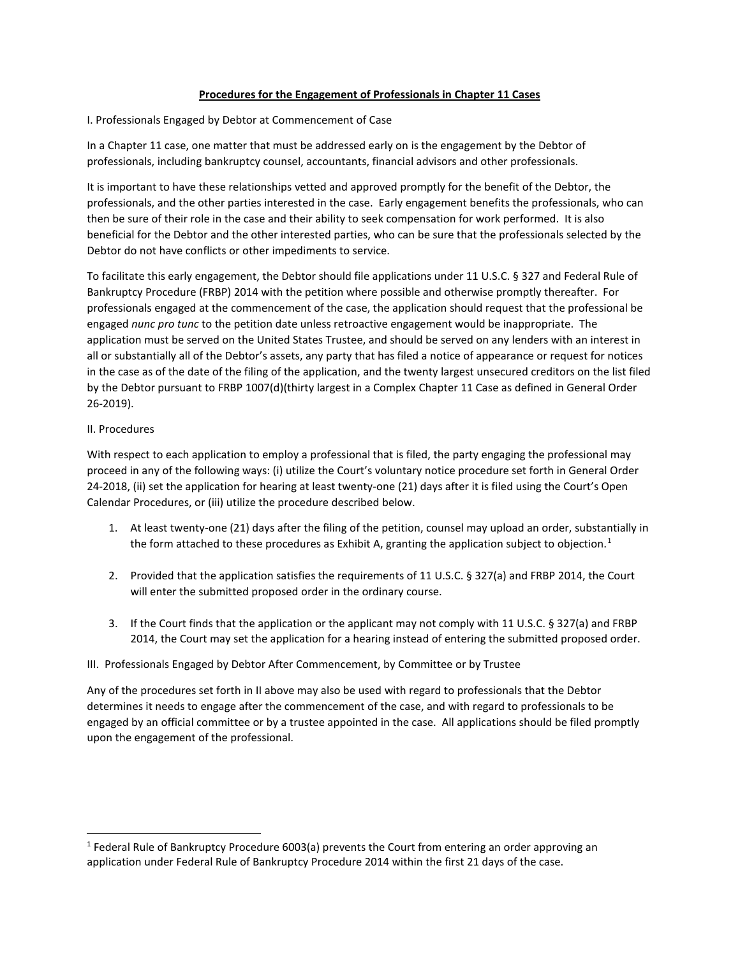#### **Procedures for the Engagement of Professionals in Chapter 11 Cases**

I. Professionals Engaged by Debtor at Commencement of Case

In a Chapter 11 case, one matter that must be addressed early on is the engagement by the Debtor of professionals, including bankruptcy counsel, accountants, financial advisors and other professionals.

It is important to have these relationships vetted and approved promptly for the benefit of the Debtor, the professionals, and the other parties interested in the case. Early engagement benefits the professionals, who can then be sure of their role in the case and their ability to seek compensation for work performed. It is also beneficial for the Debtor and the other interested parties, who can be sure that the professionals selected by the Debtor do not have conflicts or other impediments to service.

To facilitate this early engagement, the Debtor should file applications under 11 U.S.C. § 327 and Federal Rule of Bankruptcy Procedure (FRBP) 2014 with the petition where possible and otherwise promptly thereafter. For professionals engaged at the commencement of the case, the application should request that the professional be engaged *nunc pro tunc* to the petition date unless retroactive engagement would be inappropriate. The application must be served on the United States Trustee, and should be served on any lenders with an interest in all or substantially all of the Debtor's assets, any party that has filed a notice of appearance or request for notices in the case as of the date of the filing of the application, and the twenty largest unsecured creditors on the list filed by the Debtor pursuant to FRBP 1007(d)(thirty largest in a Complex Chapter 11 Case as defined in General Order 26-2019).

#### II. Procedures

With respect to each application to employ a professional that is filed, the party engaging the professional may proceed in any of the following ways: (i) utilize the Court's voluntary notice procedure set forth in General Order 24-2018, (ii) set the application for hearing at least twenty-one (21) days after it is filed using the Court's Open Calendar Procedures, or (iii) utilize the procedure described below.

- 1. At least twenty-one (21) days after the filing of the petition, counsel may upload an order, substantially in the form attached to these procedures as Exhibit A, granting the application subject to objection.<sup>[1](#page-0-0)</sup>
- 2. Provided that the application satisfies the requirements of 11 U.S.C. § 327(a) and FRBP 2014, the Court will enter the submitted proposed order in the ordinary course.
- 3. If the Court finds that the application or the applicant may not comply with 11 U.S.C. § 327(a) and FRBP 2014, the Court may set the application for a hearing instead of entering the submitted proposed order.

## III. Professionals Engaged by Debtor After Commencement, by Committee or by Trustee

Any of the procedures set forth in II above may also be used with regard to professionals that the Debtor determines it needs to engage after the commencement of the case, and with regard to professionals to be engaged by an official committee or by a trustee appointed in the case. All applications should be filed promptly upon the engagement of the professional.

<span id="page-0-0"></span> <sup>1</sup> Federal Rule of Bankruptcy Procedure 6003(a) prevents the Court from entering an order approving an application under Federal Rule of Bankruptcy Procedure 2014 within the first 21 days of the case.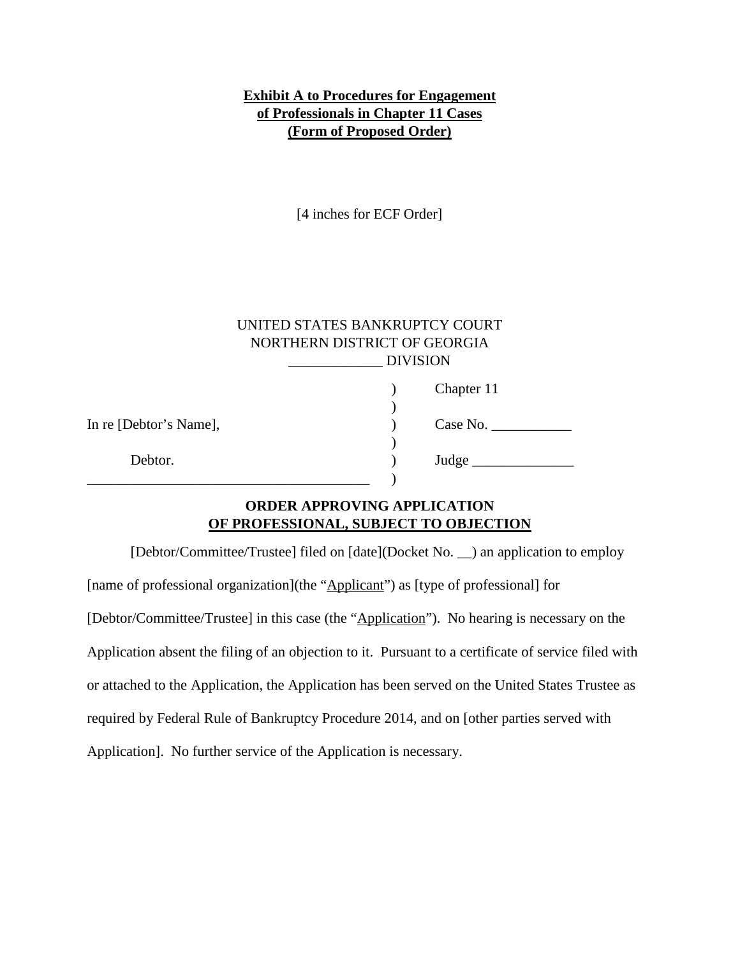# **Exhibit A to Procedures for Engagement of Professionals in Chapter 11 Cases (Form of Proposed Order)**

[4 inches for ECF Order]

| UNITED STATES BANKRUPTCY COURT |
|--------------------------------|
| NORTHERN DISTRICT OF GEORGIA   |
| <b>DIVISION</b>                |

|                        | Chapter 11 |
|------------------------|------------|
| In re [Debtor's Name], | Case No.   |
| Debtor.                | Judge      |

## **ORDER APPROVING APPLICATION OF PROFESSIONAL, SUBJECT TO OBJECTION**

[Debtor/Committee/Trustee] filed on [date](Docket No. \_\_) an application to employ [name of professional organization](the "Applicant") as [type of professional] for [Debtor/Committee/Trustee] in this case (the "Application"). No hearing is necessary on the Application absent the filing of an objection to it. Pursuant to a certificate of service filed with or attached to the Application, the Application has been served on the United States Trustee as required by Federal Rule of Bankruptcy Procedure 2014, and on [other parties served with Application]. No further service of the Application is necessary.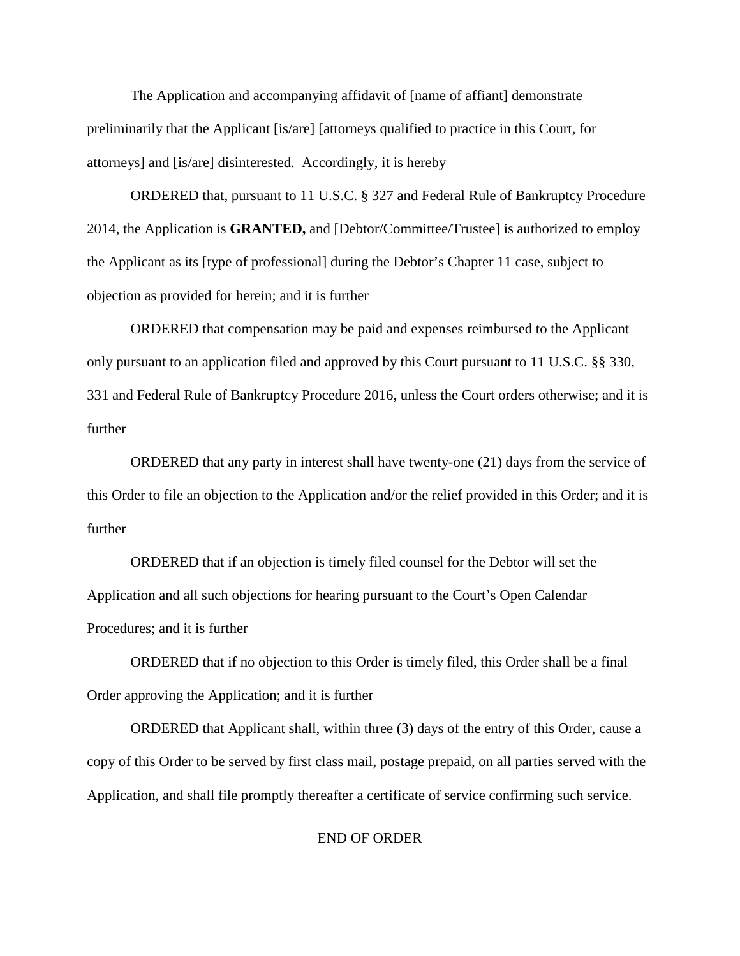The Application and accompanying affidavit of [name of affiant] demonstrate preliminarily that the Applicant [is/are] [attorneys qualified to practice in this Court, for attorneys] and [is/are] disinterested. Accordingly, it is hereby

ORDERED that, pursuant to 11 U.S.C. § 327 and Federal Rule of Bankruptcy Procedure 2014, the Application is **GRANTED,** and [Debtor/Committee/Trustee] is authorized to employ the Applicant as its [type of professional] during the Debtor's Chapter 11 case, subject to objection as provided for herein; and it is further

ORDERED that compensation may be paid and expenses reimbursed to the Applicant only pursuant to an application filed and approved by this Court pursuant to 11 U.S.C. §§ 330, 331 and Federal Rule of Bankruptcy Procedure 2016, unless the Court orders otherwise; and it is further

ORDERED that any party in interest shall have twenty-one (21) days from the service of this Order to file an objection to the Application and/or the relief provided in this Order; and it is further

ORDERED that if an objection is timely filed counsel for the Debtor will set the Application and all such objections for hearing pursuant to the Court's Open Calendar Procedures; and it is further

ORDERED that if no objection to this Order is timely filed, this Order shall be a final Order approving the Application; and it is further

ORDERED that Applicant shall, within three (3) days of the entry of this Order, cause a copy of this Order to be served by first class mail, postage prepaid, on all parties served with the Application, and shall file promptly thereafter a certificate of service confirming such service.

### END OF ORDER